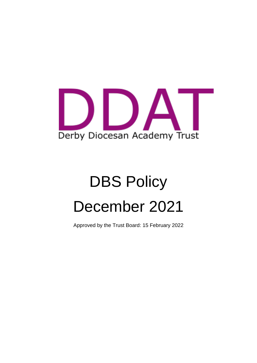

# DBS Policy December 2021

Approved by the Trust Board: 15 February 2022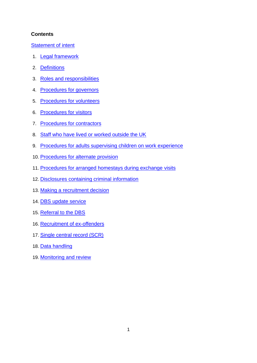#### **Contents**

[Statement of intent](#page-1-0)

- 1. [Legal framework](#page-3-0)
- 2. [Definitions](#page-3-1)
- 3. [Roles and responsibilities](#page-5-0)
- 4. [Procedures for governors](#page-6-0)
- 5. [Procedures for volunteers](#page-7-0)
- 6. [Procedures for visitors](#page-8-0)
- 7. [Procedures for contractors](#page-8-1)
- 8. [Staff who have lived or worked outside the UK](#page-8-2)
- 9. [Procedures for adults supervising children on work experience](#page-9-0)
- 10. [Procedures for alternate provision](#page-10-0)
- 11. [Procedures for arranged homestays during exchange visits](#page-10-1)
- 12. [Disclosures containing criminal information](#page-10-2)
- 13. [Making a recruitment decision](#page-11-0)
- 14. [DBS update service](#page-12-0)
- 15. [Referral to the DBS](#page-13-0)
- 16. [Recruitment of ex-offenders](#page-13-1)
- 17. [Single central record \(SCR\)](#page-14-0)
- 18. [Data handling](#page-14-1)
- <span id="page-1-0"></span>19. Monitoring and review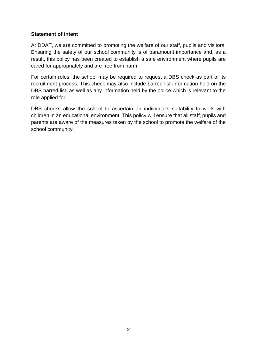#### **Statement of intent**

At DDAT, we are committed to promoting the welfare of our staff, pupils and visitors. Ensuring the safety of our school community is of paramount importance and, as a result, this policy has been created to establish a safe environment where pupils are cared for appropriately and are free from harm.

For certain roles, the school may be required to request a DBS check as part of its recruitment process. This check may also include barred list information held on the DBS barred list, as well as any information held by the police which is relevant to the role applied for.

DBS checks allow the school to ascertain an individual's suitability to work with children in an educational environment. This policy will ensure that all staff, pupils and parents are aware of the measures taken by the school to promote the welfare of the school community.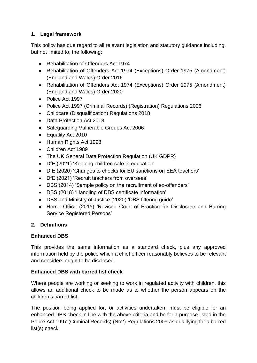# <span id="page-3-0"></span>**1. Legal framework**

This policy has due regard to all relevant legislation and statutory guidance including, but not limited to, the following:

- Rehabilitation of Offenders Act 1974
- Rehabilitation of Offenders Act 1974 (Exceptions) Order 1975 (Amendment) (England and Wales) Order 2016
- Rehabilitation of Offenders Act 1974 (Exceptions) Order 1975 (Amendment) (England and Wales) Order 2020
- Police Act 1997
- Police Act 1997 (Criminal Records) (Registration) Regulations 2006
- Childcare (Disqualification) Regulations 2018
- Data Protection Act 2018
- Safeguarding Vulnerable Groups Act 2006
- Equality Act 2010
- Human Rights Act 1998
- Children Act 1989
- The UK General Data Protection Regulation (UK GDPR)
- DfE (2021) 'Keeping children safe in education'
- DfE (2020) 'Changes to checks for EU sanctions on EEA teachers'
- DfE (2021) 'Recruit teachers from overseas'
- DBS (2014) 'Sample policy on the recruitment of ex-offenders'
- DBS (2018) 'Handling of DBS certificate information'
- DBS and Ministry of Justice (2020) 'DBS filtering guide'
- Home Office (2015) 'Revised Code of Practice for Disclosure and Barring Service Registered Persons'

### <span id="page-3-1"></span>**2. Definitions**

### **Enhanced DBS**

This provides the same information as a standard check, plus any approved information held by the police which a chief officer reasonably believes to be relevant and considers ought to be disclosed.

### **Enhanced DBS with barred list check**

Where people are working or seeking to work in regulated activity with children, this allows an additional check to be made as to whether the person appears on the children's barred list.

The position being applied for, or activities undertaken, must be eligible for an enhanced DBS check in line with the above criteria and be for a purpose listed in the Police Act 1997 (Criminal Records) (No2) Regulations 2009 as qualifying for a barred list(s) check.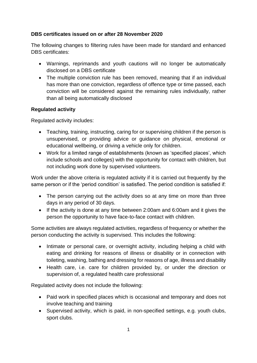## **DBS certificates issued on or after 28 November 2020**

The following changes to filtering rules have been made for standard and enhanced DBS certificates:

- Warnings, reprimands and youth cautions will no longer be automatically disclosed on a DBS certificate
- The multiple conviction rule has been removed, meaning that if an individual has more than one conviction, regardless of offence type or time passed, each conviction will be considered against the remaining rules individually, rather than all being automatically disclosed

## **Regulated activity**

Regulated activity includes:

- Teaching, training, instructing, caring for or supervising children if the person is unsupervised, or providing advice or guidance on physical, emotional or educational wellbeing, or driving a vehicle only for children.
- Work for a limited range of establishments (known as 'specified places', which include schools and colleges) with the opportunity for contact with children, but not including work done by supervised volunteers.

Work under the above criteria is regulated activity if it is carried out frequently by the same person or if the 'period condition' is satisfied. The period condition is satisfied if:

- The person carrying out the activity does so at any time on more than three days in any period of 30 days.
- If the activity is done at any time between 2:00am and 6:00am and it gives the person the opportunity to have face-to-face contact with children.

Some activities are always regulated activities, regardless of frequency or whether the person conducting the activity is supervised. This includes the following:

- Intimate or personal care, or overnight activity, including helping a child with eating and drinking for reasons of illness or disability or in connection with toileting, washing, bathing and dressing for reasons of age, illness and disability
- Health care, i.e. care for children provided by, or under the direction or supervision of, a regulated health care professional

Regulated activity does not include the following:

- Paid work in specified places which is occasional and temporary and does not involve teaching and training
- Supervised activity, which is paid, in non-specified settings, e.g. youth clubs, sport clubs.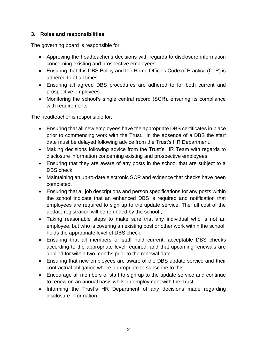## <span id="page-5-0"></span>**3. Roles and responsibilities**

The governing board is responsible for:

- Approving the headteacher's decisions with regards to disclosure information concerning existing and prospective employees.
- Ensuring that this DBS Policy and the Home Office's Code of Practice (CoP) is adhered to at all times.
- Ensuring all agreed DBS procedures are adhered to for both current and prospective employees.
- Monitoring the school's single central record (SCR), ensuring its compliance with requirements.

The headteacher is responsible for:

- Ensuring that all new employees have the appropriate DBS certificates in place prior to commencing work with the Trust. In the absence of a DBS the start date must be delayed following advice from the Trust's HR Department.
- Making decisions following advice from the Trust's HR Team with regards to disclosure information concerning existing and prospective employees.
- Ensuring that they are aware of any posts in the school that are subject to a DBS check.
- Maintaining an up-to-date electronic SCR and evidence that checks have been completed.
- Ensuring that all job descriptions and person specifications for any posts within the school indicate that an enhanced DBS is required and notification that employees are required to sign up to the update service. The full cost of the update registration will be refunded by the school.,.
- Taking reasonable steps to make sure that any individual who is not an employee, but who is covering an existing post or other work within the school, holds the appropriate level of DBS check.
- Ensuring that all members of staff hold current, acceptable DBS checks according to the appropriate level required, and that upcoming renewals are applied for within two months prior to the renewal date.
- Ensuring that new employees are aware of the DBS update service and their contractual obligation where appropriate to subscribe to this.
- Encourage all members of staff to sign up to the update service and continue to renew on an annual basis whilst in employment with the Trust.
- Informing the Trust's HR Department of any decisions made regarding disclosure information.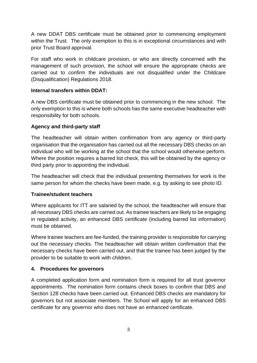A new DDAT DBS certificate must be obtained prior to commencing employment within the Trust. The only exemption to this is in exceptional circumstances and with prior Trust Board approval.

For staff who work in childcare provision, or who are directly concerned with the management of such provision, the school will ensure the appropriate checks are carried out to confirm the individuals are not disqualified under the Childcare (Disqualification) Regulations 2018.

#### **Internal transfers within DDAT:**

A new DBS certificate must be obtained prior to commencing in the new school. The only exemption to this is where both schools has the same executive headteacher with responsibility for both schools.

### **Agency and third-party staff**

The headteacher will obtain written confirmation from any agency or third-party organisation that the organisation has carried out all the necessary DBS checks on an individual who will be working at the school that the school would otherwise perform. Where the position requires a barred list check, this will be obtained by the agency or third party prior to appointing the individual.

The headteacher will check that the individual presenting themselves for work is the same person for whom the checks have been made, e.g. by asking to see photo ID.

### **Trainee/student teachers**

Where applicants for ITT are salaried by the school, the headteacher will ensure that all necessary DBS checks are carried out. As trainee teachers are likely to be engaging in regulated activity, an enhanced DBS certificate (including barred list information) must be obtained.

Where trainee teachers are fee-funded, the training provider is responsible for carrying out the necessary checks. The headteacher will obtain written confirmation that the necessary checks have been carried out, and that the trainee has been judged by the provider to be suitable to work with children.

### <span id="page-6-0"></span>**4. Procedures for governors**

A completed application form and nomination form is required for all trust governor appointments. The nomination form contains check boxes to confirm that DBS and Section 128 checks have been carried out. Enhanced DBS checks are mandatory for governors but not associate members. The School will apply for an enhanced DBS certificate for any governor who does not have an enhanced certificate.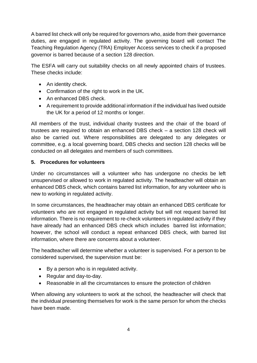A barred list check will only be required for governors who, aside from their governance duties, are engaged in regulated activity. The governing board will contact The Teaching Regulation Agency (TRA) Employer Access services to check if a proposed governor is barred because of a section 128 direction.

The ESFA will carry out suitability checks on all newly appointed chairs of trustees. These checks include:

- An identity check.
- Confirmation of the right to work in the UK.
- An enhanced DBS check.
- A requirement to provide additional information if the individual has lived outside the UK for a period of 12 months or longer.

All members of the trust, individual charity trustees and the chair of the board of trustees are required to obtain an enhanced DBS check – a section 128 check will also be carried out. Where responsibilities are delegated to any delegates or committee, e.g. a local governing board, DBS checks and section 128 checks will be conducted on all delegates and members of such committees.

### <span id="page-7-0"></span>**5. Procedures for volunteers**

Under no circumstances will a volunteer who has undergone no checks be left unsupervised or allowed to work in regulated activity. The headteacher will obtain an enhanced DBS check, which contains barred list information, for any volunteer who is new to working in regulated activity.

In some circumstances, the headteacher may obtain an enhanced DBS certificate for volunteers who are not engaged in regulated activity but will not request barred list information. There is no requirement to re-check volunteers in regulated activity if they have already had an enhanced DBS check which includes barred list information; however, the school will conduct a repeat enhanced DBS check, with barred list information, where there are concerns about a volunteer.

The headteacher will determine whether a volunteer is supervised. For a person to be considered supervised, the supervision must be:

- By a person who is in regulated activity.
- Regular and day-to-day.
- Reasonable in all the circumstances to ensure the protection of children

When allowing any volunteers to work at the school, the headteacher will check that the individual presenting themselves for work is the same person for whom the checks have been made.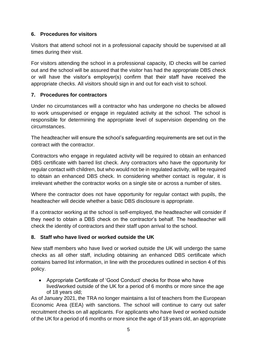### <span id="page-8-0"></span>**6. Procedures for visitors**

Visitors that attend school not in a professional capacity should be supervised at all times during their visit.

For visitors attending the school in a professional capacity, ID checks will be carried out and the school will be assured that the visitor has had the appropriate DBS check or will have the visitor's employer(s) confirm that their staff have received the appropriate checks. All visitors should sign in and out for each visit to school.

# <span id="page-8-1"></span>**7. Procedures for contractors**

Under no circumstances will a contractor who has undergone no checks be allowed to work unsupervised or engage in regulated activity at the school. The school is responsible for determining the appropriate level of supervision depending on the circumstances.

The headteacher will ensure the school's safeguarding requirements are set out in the contract with the contractor.

Contractors who engage in regulated activity will be required to obtain an enhanced DBS certificate with barred list check. Any contractors who have the opportunity for regular contact with children, but who would not be in regulated activity, will be required to obtain an enhanced DBS check. In considering whether contact is regular, it is irrelevant whether the contractor works on a single site or across a number of sites.

Where the contractor does not have opportunity for regular contact with pupils, the headteacher will decide whether a basic DBS disclosure is appropriate.

If a contractor working at the school is self-employed, the headteacher will consider if they need to obtain a DBS check on the contractor's behalf. The headteacher will check the identity of contractors and their staff upon arrival to the school.

### <span id="page-8-2"></span>**8. Staff who have lived or worked outside the UK**

New staff members who have lived or worked outside the UK will undergo the same checks as all other staff, including obtaining an enhanced DBS certificate which contains barred list information, in line with the procedures outlined in section 4 of this policy.

• Appropriate Certificate of 'Good Conduct' checks for those who have lived/worked outside of the UK for a period of 6 months or more since the age of 18 years old;

As of January 2021, the TRA no longer maintains a list of teachers from the European Economic Area (EEA) with sanctions. The school will continue to carry out safer recruitment checks on all applicants. For applicants who have lived or worked outside of the UK for a period of 6 months or more since the age of 18 years old, an appropriate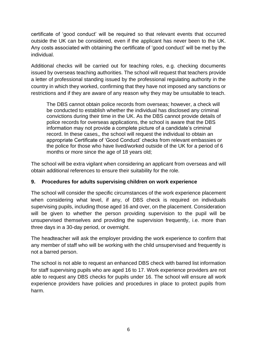certificate of 'good conduct' will be required so that relevant events that occurred outside the UK can be considered, even if the applicant has never been to the UK. Any costs associated with obtaining the certificate of 'good conduct' will be met by the individual.

Additional checks will be carried out for teaching roles, e.g. checking documents issued by overseas teaching authorities. The school will request that teachers provide a letter of professional standing issued by the professional regulating authority in the country in which they worked, confirming that they have not imposed any sanctions or restrictions and if they are aware of any reason why they may be unsuitable to teach.

The DBS cannot obtain police records from overseas; however, a check will be conducted to establish whether the individual has disclosed any criminal convictions during their time in the UK. As the DBS cannot provide details of police records for overseas applications, the school is aware that the DBS information may not provide a complete picture of a candidate's criminal record. In these cases,, the school will request the individual to obtain an appropriate Certificate of 'Good Conduct' checks from relevant embassies or the police for those who have lived/worked outside of the UK for a period of 6 months or more since the age of 18 years old;

The school will be extra vigilant when considering an applicant from overseas and will obtain additional references to ensure their suitability for the role.

## <span id="page-9-0"></span>**9. Procedures for adults supervising children on work experience**

The school will consider the specific circumstances of the work experience placement when considering what level, if any, of DBS check is required on individuals supervising pupils, including those aged 16 and over, on the placement. Consideration will be given to whether the person providing supervision to the pupil will be unsupervised themselves and providing the supervision frequently, i.e. more than three days in a 30-day period, or overnight.

The headteacher will ask the employer providing the work experience to confirm that any member of staff who will be working with the child unsupervised and frequently is not a barred person.

The school is not able to request an enhanced DBS check with barred list information for staff supervising pupils who are aged 16 to 17. Work experience providers are not able to request any DBS checks for pupils under 16. The school will ensure all work experience providers have policies and procedures in place to protect pupils from harm.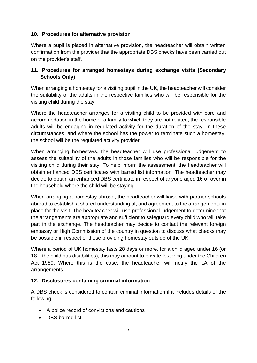#### <span id="page-10-0"></span>**10. Procedures for alternative provision**

Where a pupil is placed in alternative provision, the headteacher will obtain written confirmation from the provider that the appropriate DBS checks have been carried out on the provider's staff.

## <span id="page-10-1"></span>**11. Procedures for arranged homestays during exchange visits (Secondary Schools Only)**

When arranging a homestay for a visiting pupil in the UK, the headteacher will consider the suitability of the adults in the respective families who will be responsible for the visiting child during the stay.

Where the headteacher arranges for a visiting child to be provided with care and accommodation in the home of a family to which they are not related, the responsible adults will be engaging in regulated activity for the duration of the stay. In these circumstances, and where the school has the power to terminate such a homestay, the school will be the regulated activity provider.

When arranging homestays, the headteacher will use professional judgement to assess the suitability of the adults in those families who will be responsible for the visiting child during their stay. To help inform the assessment, the headteacher will obtain enhanced DBS certificates with barred list information. The headteacher may decide to obtain an enhanced DBS certificate in respect of anyone aged 16 or over in the household where the child will be staying.

When arranging a homestay abroad, the headteacher will liaise with partner schools abroad to establish a shared understanding of, and agreement to the arrangements in place for the visit. The headteacher will use professional judgement to determine that the arrangements are appropriate and sufficient to safeguard every child who will take part in the exchange. The headteacher may decide to contact the relevant foreign embassy or High Commission of the country in question to discuss what checks may be possible in respect of those providing homestay outside of the UK.

Where a period of UK homestay lasts 28 days or more, for a child aged under 16 (or 18 if the child has disabilities), this may amount to private fostering under the Children Act 1989. Where this is the case, the headteacher will notify the LA of the arrangements.

### <span id="page-10-2"></span>**12. Disclosures containing criminal information**

A DBS check is considered to contain criminal information if it includes details of the following:

- A police record of convictions and cautions
- DBS barred list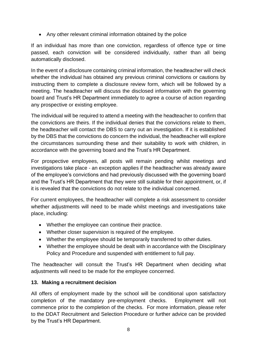• Any other relevant criminal information obtained by the police

If an individual has more than one conviction, regardless of offence type or time passed, each conviction will be considered individually, rather than all being automatically disclosed.

In the event of a disclosure containing criminal information, the headteacher will check whether the individual has obtained any previous criminal convictions or cautions by instructing them to complete a disclosure review form, which will be followed by a meeting. The headteacher will discuss the disclosed information with the governing board and Trust's HR Department immediately to agree a course of action regarding any prospective or existing employee.

The individual will be required to attend a meeting with the headteacher to confirm that the convictions are theirs. If the individual denies that the convictions relate to them, the headteacher will contact the DBS to carry out an investigation. If it is established by the DBS that the convictions do concern the individual, the headteacher will explore the circumstances surrounding these and their suitability to work with children, in accordance with the governing board and the Trust's HR Department.

For prospective employees, all posts will remain pending whilst meetings and investigations take place - an exception applies if the headteacher was already aware of the employee's convictions and had previously discussed with the governing board and the Trust's HR Department that they were still suitable for their appointment, or, if it is revealed that the convictions do not relate to the individual concerned.

For current employees, the headteacher will complete a risk assessment to consider whether adjustments will need to be made whilst meetings and investigations take place, including:

- Whether the employee can continue their practice.
- Whether closer supervision is required of the employee.
- Whether the employee should be temporarily transferred to other duties.
- Whether the employee should be dealt with in accordance with the Disciplinary Policy and Procedure and suspended with entitlement to full pay.

The headteacher will consult the Trust's HR Department when deciding what adjustments will need to be made for the employee concerned.

### <span id="page-11-0"></span>**13. Making a recruitment decision**

All offers of employment made by the school will be conditional upon satisfactory completion of the mandatory pre-employment checks. Employment will not commence prior to the completion of the checks. For more information, please refer to the DDAT Recruitment and Selection Procedure or further advice can be provided by the Trust's HR Department.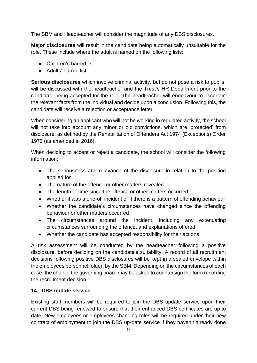The SBM and Headteacher will consider the magnitude of any DBS disclosures.

**Major disclosures** will result in the candidate being automatically unsuitable for the role. These include where the adult is named on the following lists:

- Children's barred list
- Adults' barred list

**Serious disclosures** which involve criminal activity, but do not pose a risk to pupils, will be discussed with the headteacher and the Trust's HR Department prior to the candidate being accepted for the role. The headteacher will endeavour to ascertain the relevant facts from the individual and decide upon a conclusion. Following this, the candidate will receive a rejection or acceptance letter.

When considering an applicant who will not be working in regulated activity, the school will not take into account any minor or old convictions, which are 'protected' from disclosure, as defined by the Rehabilitation of Offenders Act 1974 (Exceptions) Order 1975 (as amended in 2016).

When deciding to accept or reject a candidate, the school will consider the following information:

- The seriousness and relevance of the disclosure in relation to the position applied for
- The nature of the offence or other matters revealed
- The length of time since the offence or other matters occurred
- Whether it was a one-off incident or if there is a pattern of offending behaviour
- Whether the candidate's circumstances have changed since the offending behaviour or other matters occurred
- The circumstances around the incident, including any extenuating circumstances surrounding the offence, and explanations offered
- Whether the candidate has accepted responsibility for their actions

A risk assessment will be conducted by the headteacher following a positive disclosure, before deciding on the candidate's suitability. A record of all recruitment decisions following positive DBS disclosures will be kept in a sealed envelope within the employees personnel folder. by the SBM. Depending on the circumstances of each case, the chair of the governing board may be asked to countersign the form recording the recruitment decision.

# <span id="page-12-0"></span>**14. DBS update service**

Existing staff members will be required to join the DBS update service upon their current DBS being renewed to ensure that their enhanced DBS certificates are up to date. New employees or employees changing roles will be required under their new contract of employment to join the DBS up-date service if they haven't already done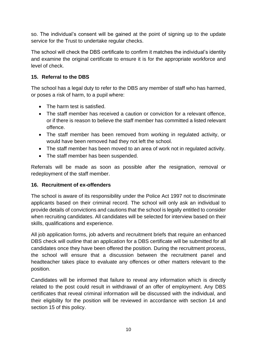so. The individual's consent will be gained at the point of signing up to the update service for the Trust to undertake regular checks.

The school will check the DBS certificate to confirm it matches the individual's identity and examine the original certificate to ensure it is for the appropriate workforce and level of check.

## <span id="page-13-0"></span>**15. Referral to the DBS**

The school has a legal duty to refer to the DBS any member of staff who has harmed, or poses a risk of harm, to a pupil where:

- The harm test is satisfied.
- The staff member has received a caution or conviction for a relevant offence. or if there is reason to believe the staff member has committed a listed relevant offence.
- The staff member has been removed from working in regulated activity, or would have been removed had they not left the school.
- The staff member has been moved to an area of work not in regulated activity.
- The staff member has been suspended.

Referrals will be made as soon as possible after the resignation, removal or redeployment of the staff member.

### <span id="page-13-1"></span>**16. Recruitment of ex-offenders**

The school is aware of its responsibility under the Police Act 1997 not to discriminate applicants based on their criminal record. The school will only ask an individual to provide details of convictions and cautions that the school is legally entitled to consider when recruiting candidates. All candidates will be selected for interview based on their skills, qualifications and experience.

All job application forms, job adverts and recruitment briefs that require an enhanced DBS check will outline that an application for a DBS certificate will be submitted for all candidates once they have been offered the position. During the recruitment process, the school will ensure that a discussion between the recruitment panel and headteacher takes place to evaluate any offences or other matters relevant to the position.

Candidates will be informed that failure to reveal any information which is directly related to the post could result in withdrawal of an offer of employment. Any DBS certificates that reveal criminal information will be discussed with the individual, and their eligibility for the position will be reviewed in accordance with section 14 and section 15 of this policy.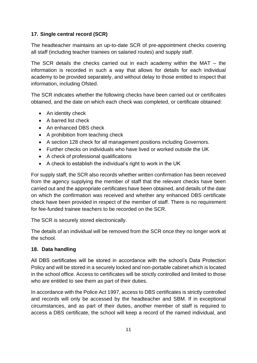## <span id="page-14-0"></span>**17. Single central record (SCR)**

The headteacher maintains an up-to-date SCR of pre-appointment checks covering all staff (including teacher trainees on salaried routes) and supply staff.

The SCR details the checks carried out in each academy within the MAT – the information is recorded in such a way that allows for details for each individual academy to be provided separately, and without delay to those entitled to inspect that information, including Ofsted.

The SCR indicates whether the following checks have been carried out or certificates obtained, and the date on which each check was completed, or certificate obtained:

- An identity check
- A barred list check
- An enhanced DBS check
- A prohibition from teaching check
- A section 128 check for all management positions including Governors.
- Further checks on individuals who have lived or worked outside the UK
- A check of professional qualifications
- A check to establish the individual's right to work in the UK

For supply staff, the SCR also records whether written confirmation has been received from the agency supplying the member of staff that the relevant checks have been carried out and the appropriate certificates have been obtained, and details of the date on which the confirmation was received and whether any enhanced DBS certificate check have been provided in respect of the member of staff. There is no requirement for fee-funded trainee teachers to be recorded on the SCR.

The SCR is securely stored electronically.

The details of an individual will be removed from the SCR once they no longer work at the school.

# <span id="page-14-1"></span>**18. Data handling**

All DBS certificates will be stored in accordance with the school's Data Protection Policy and will be stored in a securely locked and non-portable cabinet which is located in the school office. Access to certificates will be strictly controlled and limited to those who are entitled to see them as part of their duties.

In accordance with the Police Act 1997, access to DBS certificates is strictly controlled and records will only be accessed by the headteacher and SBM. If in exceptional circumstances, and as part of their duties, another member of staff is required to access a DBS certificate, the school will keep a record of the named individual, and